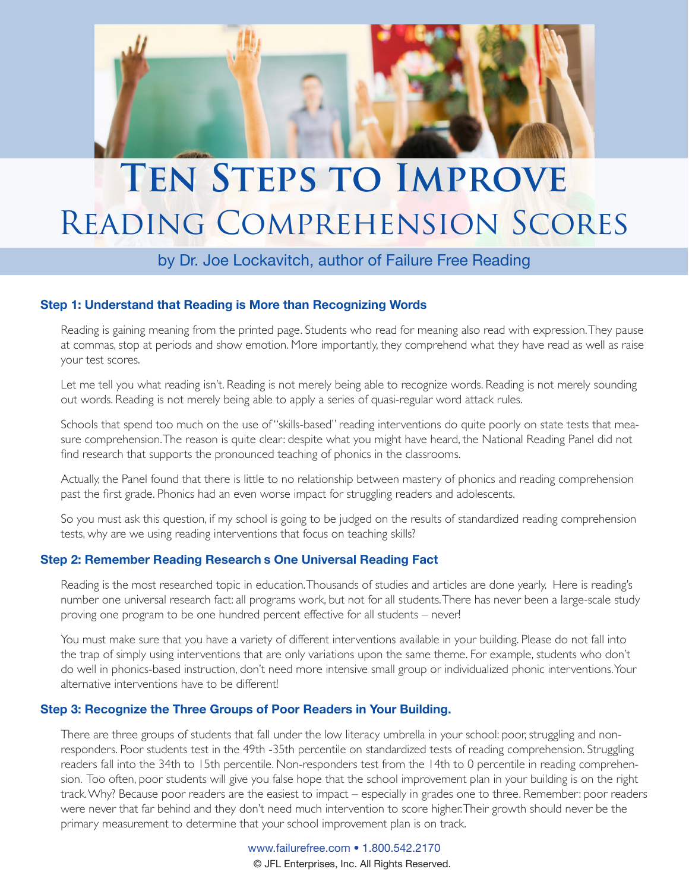

# **TEN STEPS TO IMPROVE** Reading Comprehension Scores

### by Dr. Joe Lockavitch, author of Failure Free Reading

#### **Step 1: Understand that Reading is More than Recognizing Words**

Reading is gaining meaning from the printed page. Students who read for meaning also read with expression. They pause at commas, stop at periods and show emotion. More importantly, they comprehend what they have read as well as raise your test scores.

Let me tell you what reading isn't. Reading is not merely being able to recognize words. Reading is not merely sounding out words. Reading is not merely being able to apply a series of quasi-regular word attack rules.

Schools that spend too much on the use of "skills-based" reading interventions do quite poorly on state tests that measure comprehension. The reason is quite clear: despite what you might have heard, the National Reading Panel did not find research that supports the pronounced teaching of phonics in the classrooms.

Actually, the Panel found that there is little to no relationship between mastery of phonics and reading comprehension past the first grade. Phonics had an even worse impact for struggling readers and adolescents.

So you must ask this question, if my school is going to be judged on the results of standardized reading comprehension tests, why are we using reading interventions that focus on teaching skills?

#### **Step 2: Remember Reading Research's One Universal Reading Fact**

Reading is the most researched topic in education. Thousands of studies and articles are done yearly. Here is reading's number one universal research fact: all programs work, but not for all students. There has never been a large-scale study proving one program to be one hundred percent effective for all students – never!

You must make sure that you have a variety of different interventions available in your building. Please do not fall into the trap of simply using interventions that are only variations upon the same theme. For example, students who don't do well in phonics-based instruction, don't need more intensive small group or individualized phonic interventions. Your alternative interventions have to be differently

#### **Step 3: Recognize the Three Groups of Poor Readers in Your Building.**

There are three groups of students that fall under the low literacy umbrella in your school: poor, struggling and nonresponders. Poor students test in the 49th -35th percentile on standardized tests of reading comprehension. Struggling readers fall into the 34th to 15th percentile. Non-responders test from the 14th to 0 percentile in reading comprehension. Too often, poor students will give you false hope that the school improvement plan in your building is on the right track. Why? Because poor readers are the easiest to impact – especially in grades one to three. Remember: poor readers were never that far behind and they don't need much intervention to score higher. Their growth should never be the primary measurement to determine that your school improvement plan is on track.

> www.failurefree.com • 1.800.542.2170 © JFL Enterprises, Inc. All Rights Reserved.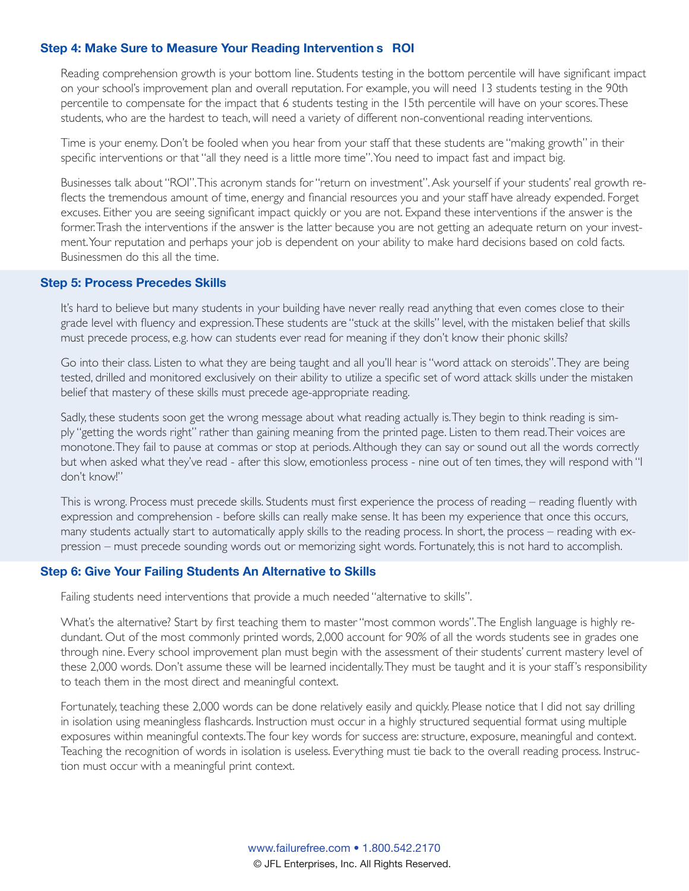#### **Step 4: Make Sure to Measure Your Reading Intervention s ROI**

Reading comprehension growth is your bottom line. Students testing in the bottom percentile will have significant impact on your school's improvement plan and overall reputation. For example, you will need 13 students testing in the 90th percentile to compensate for the impact that 6 students testing in the 15th percentile will have on your scores. These students, who are the hardest to teach, will need a variety of different non-conventional reading interventions.

Time is your enemy. Don't be fooled when you hear from your staff that these students are "making growth" in their specific interventions or that "all they need is a little more time". You need to impact fast and impact big.

Businesses talk about "ROI". This acronym stands for "return on investment". Ask yourself if your students' real growth reflects the tremendous amount of time, energy and financial resources you and your staff have already expended. Forget excuses. Either you are seeing significant impact quickly or you are not. Expand these interventions if the answer is the former. Trash the interventions if the answer is the latter because you are not getting an adequate return on your investment. Your reputation and perhaps your job is dependent on your ability to make hard decisions based on cold facts. Businessmen do this all the time.

#### **Step 5: Process Precedes Skills**

It's hard to believe but many students in your building have never really read anything that even comes close to their grade level with fluency and expression. These students are "stuck at the skills" level, with the mistaken belief that skills must precede process, e.g. how can students ever read for meaning if they don't know their phonic skills?

Go into their class. Listen to what they are being taught and all you'll hear is "word attack on steroids". They are being tested, drilled and monitored exclusively on their ability to utilize a specific set of word attack skills under the mistaken belief that mastery of these skills must precede age-appropriate reading.

Sadly, these students soon get the wrong message about what reading actually is. They begin to think reading is simply "getting the words right" rather than gaining meaning from the printed page. Listen to them read. Their voices are monotone. They fail to pause at commas or stop at periods. Although they can say or sound out all the words correctly but when asked what they've read - after this slow, emotionless process - nine out of ten times, they will respond with "I don't know!"

This is wrong. Process must precede skills. Students must first experience the process of reading – reading fluently with expression and comprehension - before skills can really make sense. It has been my experience that once this occurs, many students actually start to automatically apply skills to the reading process. In short, the process – reading with expression – must precede sounding words out or memorizing sight words. Fortunately, this is not hard to accomplish.

#### **Step 6: Give Your Failing Students An Alternative to Skills**

Failing students need interventions that provide a much needed "alternative to skills".

What's the alternative? Start by first teaching them to master "most common words". The English language is highly redundant. Out of the most commonly printed words, 2,000 account for 90% of all the words students see in grades one through nine. Every school improvement plan must begin with the assessment of their students' current mastery level of these 2,000 words. Don't assume these will be learned incidentally. They must be taught and it is your staff's responsibility to teach them in the most direct and meaningful context.

Fortunately, teaching these 2,000 words can be done relatively easily and quickly. Please notice that I did not say drilling in isolation using meaningless flashcards. Instruction must occur in a highly structured sequential format using multiple exposures within meaningful contexts. The four key words for success are: structure, exposure, meaningful and context. Teaching the recognition of words in isolation is useless. Everything must tie back to the overall reading process. Instruction must occur with a meaningful print context.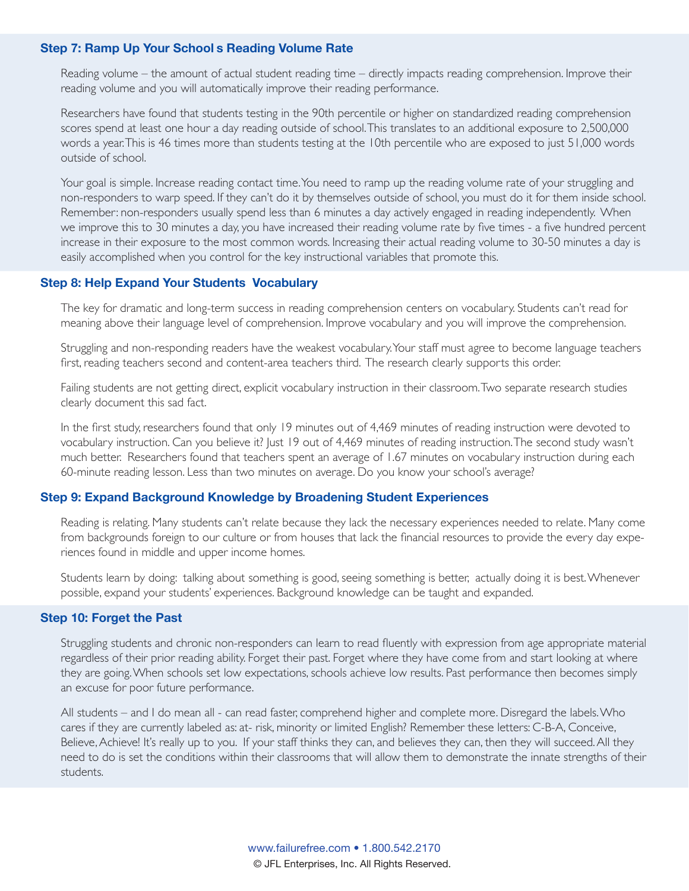#### **Step 7: Ramp Up Your Schools Reading Volume Rate**

Reading volume – the amount of actual student reading time – directly impacts reading comprehension. Improve their reading volume and you will automatically improve their reading performance.

Researchers have found that students testing in the 90th percentile or higher on standardized reading comprehension scores spend at least one hour a day reading outside of school. This translates to an additional exposure to 2,500,000 words a year. This is 46 times more than students testing at the 10th percentile who are exposed to just 51,000 words outside of school.

Your goal is simple. Increase reading contact time. You need to ramp up the reading volume rate of your struggling and non-responders to warp speed. If they can't do it by themselves outside of school, you must do it for them inside school. Remember: non-responders usually spend less than 6 minutes a day actively engaged in reading independently. When we improve this to 30 minutes a day, you have increased their reading volume rate by five times - a five hundred percent increase in their exposure to the most common words. Increasing their actual reading volume to 30-50 minutes a day is easily accomplished when you control for the key instructional variables that promote this.

#### **Step 8: Help Expand Your Students' Vocabulary**

The key for dramatic and long-term success in reading comprehension centers on vocabulary. Students can't read for meaning above their language level of comprehension. Improve vocabulary and you will improve the comprehension.

Struggling and non-responding readers have the weakest vocabulary. Your staff must agree to become language teachers first, reading teachers second and content-area teachers third. The research clearly supports this order.

Failing students are not getting direct, explicit vocabulary instruction in their classroom. Two separate research studies clearly document this sad fact.

In the first study, researchers found that only 19 minutes out of 4,469 minutes of reading instruction were devoted to vocabulary instruction. Can you believe it? Just 19 out of 4,469 minutes of reading instruction. The second study wasn't much better. Researchers found that teachers spent an average of 1.67 minutes on vocabulary instruction during each 60-minute reading lesson. Less than two minutes on average. Do you know your school's average?

#### **Step 9: Expand Background Knowledge by Broadening Student Experiences**

Reading is relating. Many students can't relate because they lack the necessary experiences needed to relate. Many come from backgrounds foreign to our culture or from houses that lack the financial resources to provide the every day experiences found in middle and upper income homes.

Students learn by doing: talking about something is good, seeing something is better, actually doing it is best. Whenever possible, expand your students' experiences. Background knowledge can be taught and expanded.

#### **Step 10: Forget the Past**

Struggling students and chronic non-responders can learn to read fluently with expression from age appropriate material regardless of their prior reading ability. Forget their past. Forget where they have come from and start looking at where they are going. When schools set low expectations, schools achieve low results. Past performance then becomes simply an excuse for poor future performance.

All students – and I do mean all - can read faster, comprehend higher and complete more. Disregard the labels. Who cares if they are currently labeled as: at- risk, minority or limited English? Remember these letters: C-B-A, Conceive, Believe, Achieve! It's really up to you. If your staff thinks they can, and believes they can, then they will succeed. All they need to do is set the conditions within their classrooms that will allow them to demonstrate the innate strengths of their students.